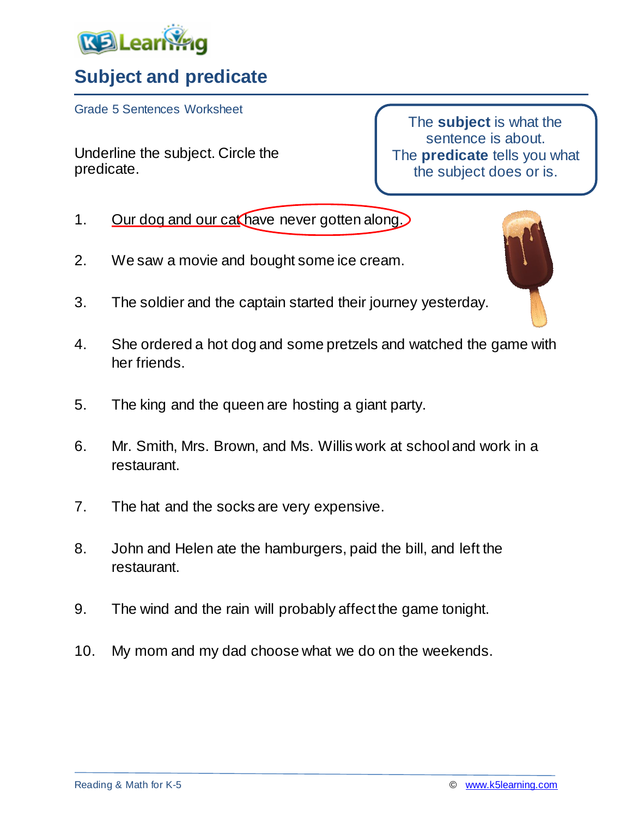

## **Subject and predicate**

Grade 5 Sentences Worksheet

Underline the subject. Circle the predicate.

The **subject** is what the sentence is about. The **predicate** tells you what the subject does or is.

- 1. Our dog and our cat have never gotten along.
- 2. We saw a movie and bought some ice cream.
- 3. The soldier and the captain started their journey yesterday.
- 4. She ordered a hot dog and some pretzels and watched the game with her friends.
- 5. The king and the queen are hosting a giant party.
- 6. Mr. Smith, Mrs. Brown, and Ms. Willis work at school and work in a restaurant.
- 7. The hat and the socks are very expensive.
- 8. John and Helen ate the hamburgers, paid the bill, and left the restaurant.
- 9. The wind and the rain will probably affect the game tonight.
- 10. My mom and my dad choose what we do on the weekends.